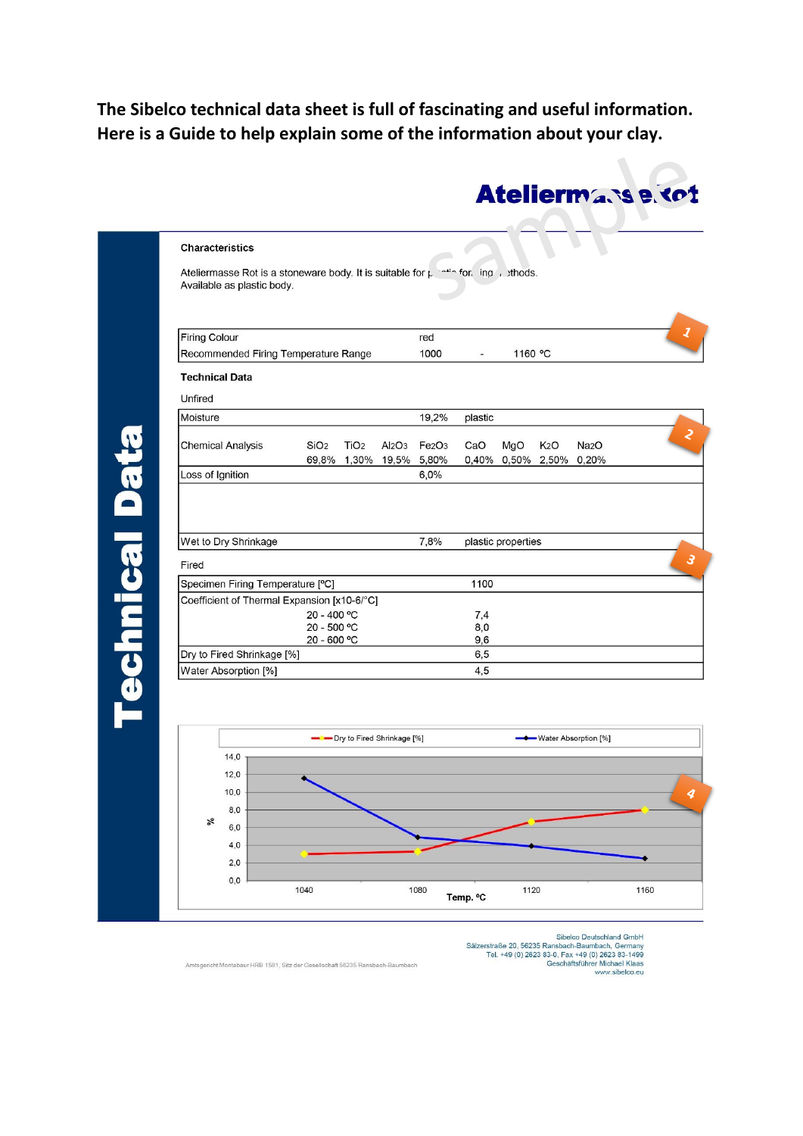## **The Sibelco technical data sheet is full of fascinating and useful information. Here is a Guide to help explain some of the information about your clay.**

| <b>Firing Colour</b><br>Recommended Firing Temperature Range |                            |                  | red                            |                                | 1160 °C    |                   |                  |                   |
|--------------------------------------------------------------|----------------------------|------------------|--------------------------------|--------------------------------|------------|-------------------|------------------|-------------------|
|                                                              |                            |                  | 1000                           |                                |            |                   |                  |                   |
| <b>Technical Data</b>                                        |                            |                  |                                |                                |            |                   |                  |                   |
| Unfired                                                      |                            |                  |                                |                                |            |                   |                  |                   |
| Moisture                                                     |                            |                  |                                | 19,2%                          | plastic    |                   |                  |                   |
| <b>Chemical Analysis</b>                                     | SiO <sub>2</sub>           | TiO <sub>2</sub> | Al <sub>2</sub> O <sub>3</sub> | Fe <sub>2</sub> O <sub>3</sub> | CaO        | MgO               | K <sub>2</sub> O | Na <sub>2</sub> O |
|                                                              |                            | 69,8% 1,30%      |                                | 19,5% 5,80%                    |            | 0,40% 0,50% 2,50% |                  | 0,20%             |
| Loss of Ignition                                             |                            |                  |                                | 6,0%                           |            |                   |                  |                   |
| Fired                                                        |                            |                  |                                |                                |            |                   |                  |                   |
| Specimen Firing Temperature [°C]                             |                            |                  |                                |                                | 1100       |                   |                  |                   |
| Coefficient of Thermal Expansion [x10-6/°C]                  |                            |                  |                                |                                |            |                   |                  |                   |
|                                                              | 20 - 400 °C<br>20 - 500 °C |                  |                                |                                | 7,4        |                   |                  |                   |
|                                                              | 20 - 600 °C                |                  |                                |                                | 8,0<br>9,6 |                   |                  |                   |
|                                                              | Dry to Fired Shrinkage [%] |                  |                                |                                | 6,5        |                   |                  |                   |
|                                                              |                            |                  |                                |                                |            |                   |                  |                   |
| Water Absorption [%]                                         |                            |                  |                                |                                | 4,5        |                   |                  |                   |
|                                                              |                            |                  |                                |                                |            |                   |                  |                   |
|                                                              |                            |                  |                                |                                |            |                   |                  |                   |



Sibelco Deutschland GmbH Sibelco Deutschland GmbH<br>Tel. +49 (0) 2623 Ransbach-Baumbach, Germany<br>Tel. +49 (0) 2623 83-0, Fax +49 (0) 2623 83-1499<br>Geschäftsführer Michael Klaas<br>www.sibelco.eu

Ateliermasse tot

Amtsgericht Montabaur HRB 1581, Sitz der Gesellschaft 56235 Ransbach-Baumbach